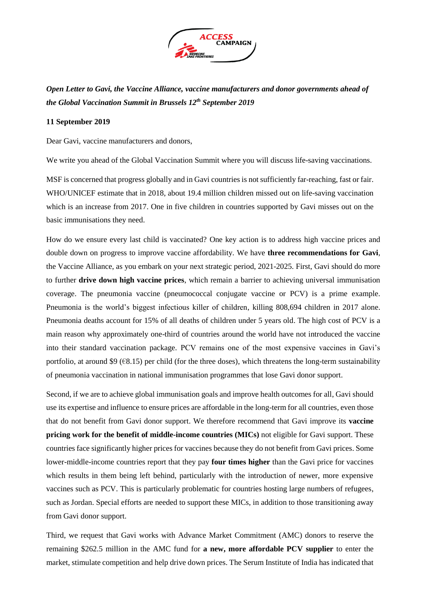

*Open Letter to Gavi, the Vaccine Alliance, vaccine manufacturers and donor governments ahead of the Global Vaccination Summit in Brussels 12th September 2019*

## **11 September 2019**

Dear Gavi, vaccine manufacturers and donors,

We write you ahead of the Global Vaccination Summit where you will discuss life-saving vaccinations.

MSF is concerned that progress globally and in Gavi countries is not sufficiently far-reaching, fast or fair. WHO/UNICEF estimate that in 2018, about 19.4 million children missed out on life-saving vaccination which is an increase from 2017. One in five children in countries supported by Gavi misses out on the basic immunisations they need.

How do we ensure every last child is vaccinated? One key action is to address high vaccine prices and double down on progress to improve vaccine affordability. We have **three recommendations for Gavi**, the Vaccine Alliance, as you embark on your next strategic period, 2021-2025. First, Gavi should do more to further **drive down high vaccine prices**, which remain a barrier to achieving universal immunisation coverage. The pneumonia vaccine (pneumococcal conjugate vaccine or PCV) is a prime example. Pneumonia is the world's biggest infectious killer of children, killing 808,694 children in 2017 alone. Pneumonia deaths account for 15% of all deaths of children under 5 years old. The high cost of PCV is a main reason why approximately one-third of countries around the world have not introduced the vaccine into their standard vaccination package. PCV remains one of the most expensive vaccines in Gavi's portfolio, at around \$9 ( $\epsilon$ 8.15) per child (for the three doses), which threatens the long-term sustainability of pneumonia vaccination in national immunisation programmes that lose Gavi donor support.

Second, if we are to achieve global immunisation goals and improve health outcomes for all, Gavi should use its expertise and influence to ensure prices are affordable in the long-term for all countries, even those that do not benefit from Gavi donor support. We therefore recommend that Gavi improve its **vaccine pricing work for the benefit of middle-income countries (MICs)** not eligible for Gavi support. These countries face significantly higher prices for vaccines because they do not benefit from Gavi prices. Some lower-middle-income countries report that they pay **four times higher** than the Gavi price for vaccines which results in them being left behind, particularly with the introduction of newer, more expensive vaccines such as PCV. This is particularly problematic for countries hosting large numbers of refugees, such as Jordan. Special efforts are needed to support these MICs, in addition to those transitioning away from Gavi donor support.

Third, we request that Gavi works with Advance Market Commitment (AMC) donors to reserve the remaining \$262.5 million in the AMC fund for **a new, more affordable PCV supplier** to enter the market, stimulate competition and help drive down prices. The Serum Institute of India has indicated that